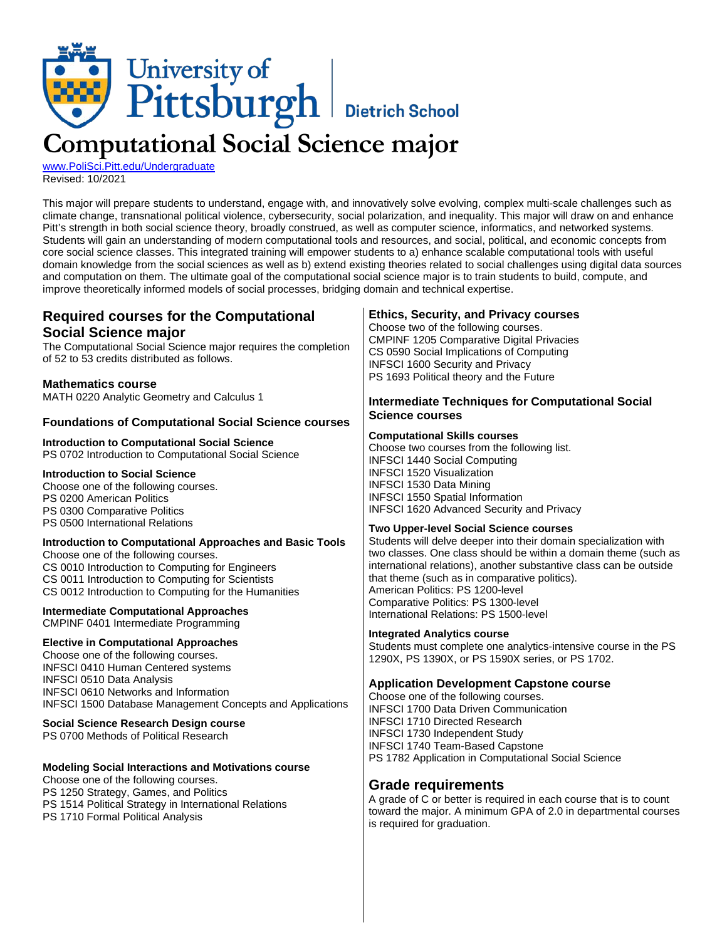# University of<br>Pittsburgh | Dietrich School **Computational Social Science major**

[www.PoliSci.Pitt.edu/Undergraduate](http://www.polisci.pitt.edu/undergraduate) Revised: 10/2021

This major will prepare students to understand, engage with, and innovatively solve evolving, complex multi-scale challenges such as climate change, transnational political violence, cybersecurity, social polarization, and inequality. This major will draw on and enhance Pitt's strength in both social science theory, broadly construed, as well as computer science, informatics, and networked systems. Students will gain an understanding of modern computational tools and resources, and social, political, and economic concepts from core social science classes. This integrated training will empower students to a) enhance scalable computational tools with useful domain knowledge from the social sciences as well as b) extend existing theories related to social challenges using digital data sources and computation on them. The ultimate goal of the computational social science major is to train students to build, compute, and improve theoretically informed models of social processes, bridging domain and technical expertise.

| <b>Ethics, Security, and Privacy courses</b><br>Choose two of the following courses.<br><b>CMPINF 1205 Comparative Digital Privacies</b><br>CS 0590 Social Implications of Computing<br><b>INFSCI 1600 Security and Privacy</b><br>PS 1693 Political theory and the Future<br><b>Intermediate Techniques for Computational Social</b><br><b>Science courses</b><br><b>Computational Skills courses</b><br>Choose two courses from the following list.<br><b>INFSCI 1440 Social Computing</b><br><b>INFSCI 1520 Visualization</b><br><b>INFSCI 1530 Data Mining</b><br><b>INFSCI 1550 Spatial Information</b><br><b>INFSCI 1620 Advanced Security and Privacy</b><br><b>Two Upper-level Social Science courses</b><br>Students will delve deeper into their domain specialization with<br>two classes. One class should be within a domain theme (such as<br>international relations), another substantive class can be outside<br>that theme (such as in comparative politics).<br>American Politics: PS 1200-level<br>Comparative Politics: PS 1300-level<br>International Relations: PS 1500-level<br><b>Integrated Analytics course</b><br>Students must complete one analytics-intensive course in the PS<br>1290X, PS 1390X, or PS 1590X series, or PS 1702.<br><b>Application Development Capstone course</b><br>Choose one of the following courses.<br><b>INFSCI 1700 Data Driven Communication</b><br><b>INFSCI 1710 Directed Research</b><br><b>INFSCI 1730 Independent Study</b><br><b>INFSCI 1740 Team-Based Capstone</b> |
|---------------------------------------------------------------------------------------------------------------------------------------------------------------------------------------------------------------------------------------------------------------------------------------------------------------------------------------------------------------------------------------------------------------------------------------------------------------------------------------------------------------------------------------------------------------------------------------------------------------------------------------------------------------------------------------------------------------------------------------------------------------------------------------------------------------------------------------------------------------------------------------------------------------------------------------------------------------------------------------------------------------------------------------------------------------------------------------------------------------------------------------------------------------------------------------------------------------------------------------------------------------------------------------------------------------------------------------------------------------------------------------------------------------------------------------------------------------------------------------------------------------------------------------|
| PS 1782 Application in Computational Social Science<br><b>Grade requirements</b><br>A grade of C or better is required in each course that is to count<br>toward the major. A minimum GPA of 2.0 in departmental courses<br>is required for graduation.                                                                                                                                                                                                                                                                                                                                                                                                                                                                                                                                                                                                                                                                                                                                                                                                                                                                                                                                                                                                                                                                                                                                                                                                                                                                               |
|                                                                                                                                                                                                                                                                                                                                                                                                                                                                                                                                                                                                                                                                                                                                                                                                                                                                                                                                                                                                                                                                                                                                                                                                                                                                                                                                                                                                                                                                                                                                       |